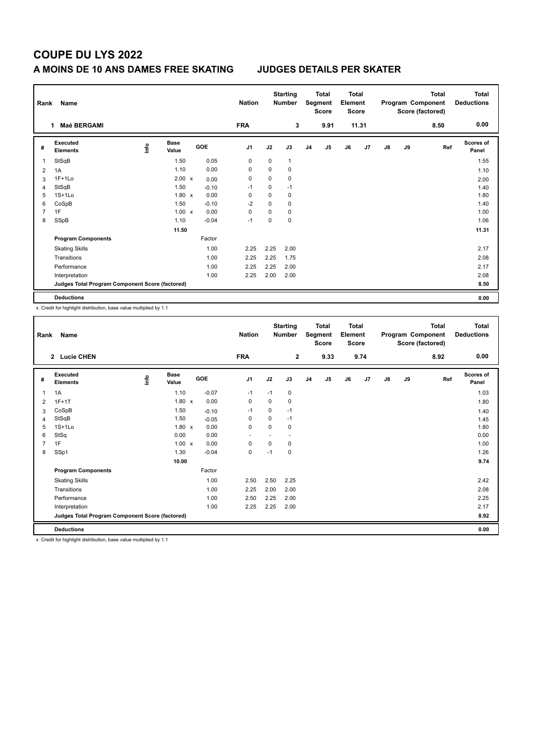# **COUPE DU LYS 2022**

### **A MOINS DE 10 ANS DAMES FREE SKATING JUDGES DETAILS PER SKATER**

| Rank           | Name                                            |      |                      |  | <b>Nation</b> |                | <b>Starting</b><br><b>Number</b> |              | Total<br>Segment<br><b>Score</b> | <b>Total</b><br>Element<br><b>Score</b> |    | Program Component<br>Score (factored) |    | <b>Total</b> | <b>Total</b><br><b>Deductions</b> |                    |
|----------------|-------------------------------------------------|------|----------------------|--|---------------|----------------|----------------------------------|--------------|----------------------------------|-----------------------------------------|----|---------------------------------------|----|--------------|-----------------------------------|--------------------|
|                | Maé BERGAMI<br>1                                |      |                      |  |               | <b>FRA</b>     |                                  | 3            |                                  | 9.91                                    |    | 11.31                                 |    |              | 8.50                              | 0.00               |
| #              | Executed<br><b>Elements</b>                     | lnfo | <b>Base</b><br>Value |  | GOE           | J <sub>1</sub> | J2                               | J3           | J <sub>4</sub>                   | J <sub>5</sub>                          | J6 | J7                                    | J8 | J9           | Ref                               | Scores of<br>Panel |
| 1              | StSqB                                           |      | 1.50                 |  | 0.05          | 0              | 0                                | $\mathbf{1}$ |                                  |                                         |    |                                       |    |              |                                   | 1.55               |
| 2              | 1A                                              |      | 1.10                 |  | 0.00          | 0              | $\Omega$                         | 0            |                                  |                                         |    |                                       |    |              |                                   | 1.10               |
| 3              | $1F+1Lo$                                        |      | $2.00 \times$        |  | 0.00          | 0              | $\mathbf 0$                      | 0            |                                  |                                         |    |                                       |    |              |                                   | 2.00               |
| 4              | StSqB                                           |      | 1.50                 |  | $-0.10$       | $-1$           | 0                                | $-1$         |                                  |                                         |    |                                       |    |              |                                   | 1.40               |
| 5              | $1S+1Lo$                                        |      | $1.80 \times$        |  | 0.00          | 0              | 0                                | 0            |                                  |                                         |    |                                       |    |              |                                   | 1.80               |
| 6              | CoSpB                                           |      | 1.50                 |  | $-0.10$       | $-2$           | $\Omega$                         | 0            |                                  |                                         |    |                                       |    |              |                                   | 1.40               |
| $\overline{7}$ | 1F                                              |      | $1.00 \times$        |  | 0.00          | 0              | 0                                | 0            |                                  |                                         |    |                                       |    |              |                                   | 1.00               |
| 8              | SSpB                                            |      | 1.10                 |  | $-0.04$       | $-1$           | $\mathbf 0$                      | $\mathbf 0$  |                                  |                                         |    |                                       |    |              |                                   | 1.06               |
|                |                                                 |      | 11.50                |  |               |                |                                  |              |                                  |                                         |    |                                       |    |              |                                   | 11.31              |
|                | <b>Program Components</b>                       |      |                      |  | Factor        |                |                                  |              |                                  |                                         |    |                                       |    |              |                                   |                    |
|                | <b>Skating Skills</b>                           |      |                      |  | 1.00          | 2.25           | 2.25                             | 2.00         |                                  |                                         |    |                                       |    |              |                                   | 2.17               |
|                | Transitions                                     |      |                      |  | 1.00          | 2.25           | 2.25                             | 1.75         |                                  |                                         |    |                                       |    |              |                                   | 2.08               |
|                | Performance                                     |      |                      |  | 1.00          | 2.25           | 2.25                             | 2.00         |                                  |                                         |    |                                       |    |              |                                   | 2.17               |
|                | Interpretation                                  |      |                      |  | 1.00          | 2.25           | 2.00                             | 2.00         |                                  |                                         |    |                                       |    |              |                                   | 2.08               |
|                | Judges Total Program Component Score (factored) |      |                      |  |               |                |                                  |              |                                  |                                         |    |                                       |    |              |                                   | 8.50               |
|                | <b>Deductions</b>                               |      |                      |  |               |                |                                  |              |                                  |                                         |    |                                       |    |              |                                   | 0.00               |

x Credit for highlight distribution, base value multiplied by 1.1

| 0.00<br><b>FRA</b><br>$\mathbf{2}$<br>9.33<br>9.74<br>8.92<br>2 Lucie CHEN<br>Executed<br>Scores of<br><b>Base</b><br>info<br>GOE<br>J <sub>1</sub><br>J2<br>J6<br>J7<br>J3<br>J <sub>4</sub><br>J5<br>$\mathsf{J}8$<br>J9<br>Ref<br>#<br><b>Elements</b><br>Value<br>Panel<br>1.10<br>$-0.07$<br>1A<br>$-1$<br>0<br>1.03<br>$-1$<br>1<br>$1.80 \times$<br>0.00<br>0<br>0<br>0<br>$1F+1T$<br>1.80<br>2<br>1.50<br>CoSpB<br>0<br>$-1$<br>$-1$<br>$-0.10$<br>1.40<br>3<br>StSqB<br>1.50<br>0<br>0<br>$-1$<br>$-0.05$<br>1.45<br>4<br>$1S+1Lo$<br>0.00<br>1.80<br>$1.80 \times$<br>0<br>$\Omega$<br>0<br>5<br>StSq<br>0.00<br>0.00<br>0.00<br>6<br>1F<br>$1.00 \times$<br>$\overline{7}$<br>0.00<br>0<br>0<br>1.00<br>0<br>SSp1<br>1.30<br>$-0.04$<br>$\mathbf 0$<br>0<br>1.26<br>8<br>$-1$<br>9.74<br>10.00<br><b>Program Components</b><br>Factor<br>2.50<br>1.00<br>2.50<br>2.25<br>2.42<br><b>Skating Skills</b><br>2.08<br>Transitions<br>1.00<br>2.25<br>2.00<br>2.00<br>2.25<br>Performance<br>1.00<br>2.50<br>2.25<br>2.00<br>2.17<br>2.25<br>2.00<br>1.00<br>2.25<br>Interpretation<br>Judges Total Program Component Score (factored)<br>8.92<br><b>Deductions</b><br>0.00 | Name<br>Rank |  |  | <b>Starting</b><br><b>Nation</b><br><b>Number</b> |  | <b>Total</b><br><b>Total</b><br>Element<br>Segment<br><b>Score</b><br><b>Score</b> |  | <b>Total</b><br>Program Component<br>Score (factored) |  |  | <b>Total</b><br><b>Deductions</b> |  |  |  |
|-----------------------------------------------------------------------------------------------------------------------------------------------------------------------------------------------------------------------------------------------------------------------------------------------------------------------------------------------------------------------------------------------------------------------------------------------------------------------------------------------------------------------------------------------------------------------------------------------------------------------------------------------------------------------------------------------------------------------------------------------------------------------------------------------------------------------------------------------------------------------------------------------------------------------------------------------------------------------------------------------------------------------------------------------------------------------------------------------------------------------------------------------------------------------------------|--------------|--|--|---------------------------------------------------|--|------------------------------------------------------------------------------------|--|-------------------------------------------------------|--|--|-----------------------------------|--|--|--|
|                                                                                                                                                                                                                                                                                                                                                                                                                                                                                                                                                                                                                                                                                                                                                                                                                                                                                                                                                                                                                                                                                                                                                                                   |              |  |  |                                                   |  |                                                                                    |  |                                                       |  |  |                                   |  |  |  |
|                                                                                                                                                                                                                                                                                                                                                                                                                                                                                                                                                                                                                                                                                                                                                                                                                                                                                                                                                                                                                                                                                                                                                                                   |              |  |  |                                                   |  |                                                                                    |  |                                                       |  |  |                                   |  |  |  |
|                                                                                                                                                                                                                                                                                                                                                                                                                                                                                                                                                                                                                                                                                                                                                                                                                                                                                                                                                                                                                                                                                                                                                                                   |              |  |  |                                                   |  |                                                                                    |  |                                                       |  |  |                                   |  |  |  |
|                                                                                                                                                                                                                                                                                                                                                                                                                                                                                                                                                                                                                                                                                                                                                                                                                                                                                                                                                                                                                                                                                                                                                                                   |              |  |  |                                                   |  |                                                                                    |  |                                                       |  |  |                                   |  |  |  |
|                                                                                                                                                                                                                                                                                                                                                                                                                                                                                                                                                                                                                                                                                                                                                                                                                                                                                                                                                                                                                                                                                                                                                                                   |              |  |  |                                                   |  |                                                                                    |  |                                                       |  |  |                                   |  |  |  |
|                                                                                                                                                                                                                                                                                                                                                                                                                                                                                                                                                                                                                                                                                                                                                                                                                                                                                                                                                                                                                                                                                                                                                                                   |              |  |  |                                                   |  |                                                                                    |  |                                                       |  |  |                                   |  |  |  |
|                                                                                                                                                                                                                                                                                                                                                                                                                                                                                                                                                                                                                                                                                                                                                                                                                                                                                                                                                                                                                                                                                                                                                                                   |              |  |  |                                                   |  |                                                                                    |  |                                                       |  |  |                                   |  |  |  |
|                                                                                                                                                                                                                                                                                                                                                                                                                                                                                                                                                                                                                                                                                                                                                                                                                                                                                                                                                                                                                                                                                                                                                                                   |              |  |  |                                                   |  |                                                                                    |  |                                                       |  |  |                                   |  |  |  |
|                                                                                                                                                                                                                                                                                                                                                                                                                                                                                                                                                                                                                                                                                                                                                                                                                                                                                                                                                                                                                                                                                                                                                                                   |              |  |  |                                                   |  |                                                                                    |  |                                                       |  |  |                                   |  |  |  |
|                                                                                                                                                                                                                                                                                                                                                                                                                                                                                                                                                                                                                                                                                                                                                                                                                                                                                                                                                                                                                                                                                                                                                                                   |              |  |  |                                                   |  |                                                                                    |  |                                                       |  |  |                                   |  |  |  |
|                                                                                                                                                                                                                                                                                                                                                                                                                                                                                                                                                                                                                                                                                                                                                                                                                                                                                                                                                                                                                                                                                                                                                                                   |              |  |  |                                                   |  |                                                                                    |  |                                                       |  |  |                                   |  |  |  |
|                                                                                                                                                                                                                                                                                                                                                                                                                                                                                                                                                                                                                                                                                                                                                                                                                                                                                                                                                                                                                                                                                                                                                                                   |              |  |  |                                                   |  |                                                                                    |  |                                                       |  |  |                                   |  |  |  |
|                                                                                                                                                                                                                                                                                                                                                                                                                                                                                                                                                                                                                                                                                                                                                                                                                                                                                                                                                                                                                                                                                                                                                                                   |              |  |  |                                                   |  |                                                                                    |  |                                                       |  |  |                                   |  |  |  |
|                                                                                                                                                                                                                                                                                                                                                                                                                                                                                                                                                                                                                                                                                                                                                                                                                                                                                                                                                                                                                                                                                                                                                                                   |              |  |  |                                                   |  |                                                                                    |  |                                                       |  |  |                                   |  |  |  |
|                                                                                                                                                                                                                                                                                                                                                                                                                                                                                                                                                                                                                                                                                                                                                                                                                                                                                                                                                                                                                                                                                                                                                                                   |              |  |  |                                                   |  |                                                                                    |  |                                                       |  |  |                                   |  |  |  |
|                                                                                                                                                                                                                                                                                                                                                                                                                                                                                                                                                                                                                                                                                                                                                                                                                                                                                                                                                                                                                                                                                                                                                                                   |              |  |  |                                                   |  |                                                                                    |  |                                                       |  |  |                                   |  |  |  |
|                                                                                                                                                                                                                                                                                                                                                                                                                                                                                                                                                                                                                                                                                                                                                                                                                                                                                                                                                                                                                                                                                                                                                                                   |              |  |  |                                                   |  |                                                                                    |  |                                                       |  |  |                                   |  |  |  |
|                                                                                                                                                                                                                                                                                                                                                                                                                                                                                                                                                                                                                                                                                                                                                                                                                                                                                                                                                                                                                                                                                                                                                                                   |              |  |  |                                                   |  |                                                                                    |  |                                                       |  |  |                                   |  |  |  |

x Credit for highlight distribution, base value multiplied by 1.1